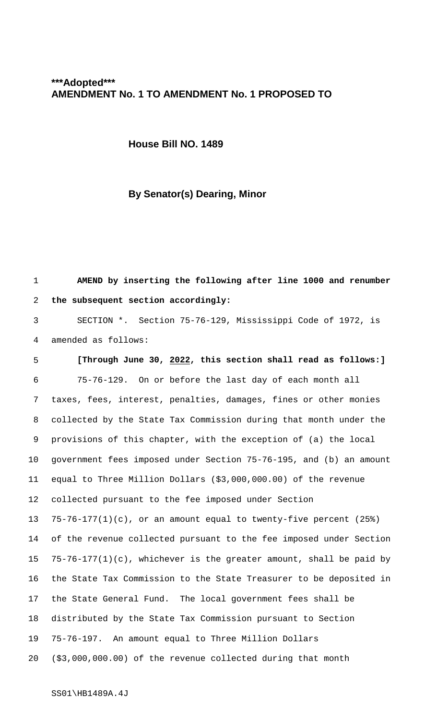## **\*\*\*Adopted\*\*\* AMENDMENT No. 1 TO AMENDMENT No. 1 PROPOSED TO**

**House Bill NO. 1489**

## **By Senator(s) Dearing, Minor**

 **AMEND by inserting the following after line 1000 and renumber the subsequent section accordingly:** SECTION \*. Section 75-76-129, Mississippi Code of 1972, is amended as follows: **[Through June 30, 2022, this section shall read as follows:]** 75-76-129. On or before the last day of each month all taxes, fees, interest, penalties, damages, fines or other monies collected by the State Tax Commission during that month under the provisions of this chapter, with the exception of (a) the local government fees imposed under Section 75-76-195, and (b) an amount equal to Three Million Dollars (\$3,000,000.00) of the revenue collected pursuant to the fee imposed under Section 75-76-177(1)(c), or an amount equal to twenty-five percent (25%) of the revenue collected pursuant to the fee imposed under Section 75-76-177(1)(c), whichever is the greater amount, shall be paid by the State Tax Commission to the State Treasurer to be deposited in the State General Fund. The local government fees shall be distributed by the State Tax Commission pursuant to Section 75-76-197. An amount equal to Three Million Dollars (\$3,000,000.00) of the revenue collected during that month